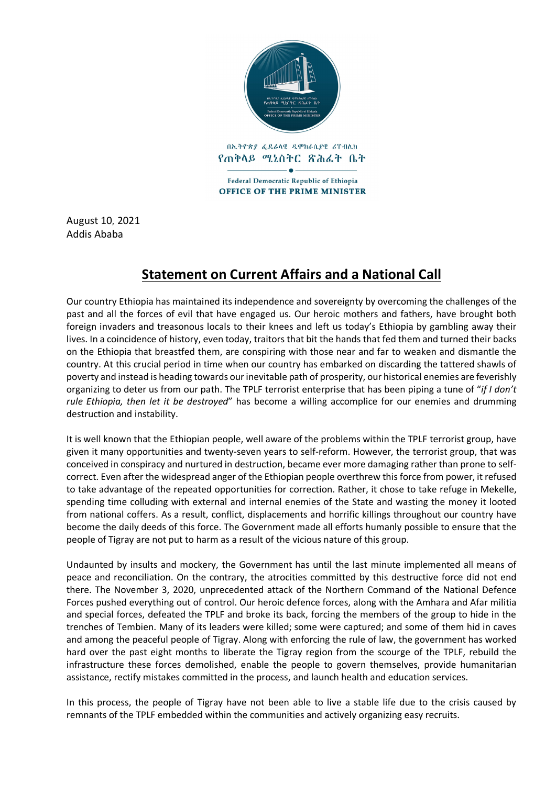

Federal Democratic Republic of Ethiopia **OFFICE OF THE PRIME MINISTER** 

August 10, 2021 Addis Ababa

## **Statement on Current Affairs and a National Call**

Our country Ethiopia has maintained its independence and sovereignty by overcoming the challenges of the past and all the forces of evil that have engaged us. Our heroic mothers and fathers, have brought both foreign invaders and treasonous locals to their knees and left us today's Ethiopia by gambling away their lives. In a coincidence of history, even today, traitors that bit the hands that fed them and turned their backs on the Ethiopia that breastfed them, are conspiring with those near and far to weaken and dismantle the country. At this crucial period in time when our country has embarked on discarding the tattered shawls of poverty and instead is heading towards our inevitable path of prosperity, our historical enemies are feverishly organizing to deter us from our path. The TPLF terrorist enterprise that has been piping a tune of "*if I don't rule Ethiopia, then let it be destroyed*" has become a willing accomplice for our enemies and drumming destruction and instability.

It is well known that the Ethiopian people, well aware of the problems within the TPLF terrorist group, have given it many opportunities and twenty-seven years to self-reform. However, the terrorist group, that was conceived in conspiracy and nurtured in destruction, became ever more damaging rather than prone to selfcorrect. Even after the widespread anger of the Ethiopian people overthrew this force from power, it refused to take advantage of the repeated opportunities for correction. Rather, it chose to take refuge in Mekelle, spending time colluding with external and internal enemies of the State and wasting the money it looted from national coffers. As a result, conflict, displacements and horrific killings throughout our country have become the daily deeds of this force. The Government made all efforts humanly possible to ensure that the people of Tigray are not put to harm as a result of the vicious nature of this group.

Undaunted by insults and mockery, the Government has until the last minute implemented all means of peace and reconciliation. On the contrary, the atrocities committed by this destructive force did not end there. The November 3, 2020, unprecedented attack of the Northern Command of the National Defence Forces pushed everything out of control. Our heroic defence forces, along with the Amhara and Afar militia and special forces, defeated the TPLF and broke its back, forcing the members of the group to hide in the trenches of Tembien. Many of its leaders were killed; some were captured; and some of them hid in caves and among the peaceful people of Tigray. Along with enforcing the rule of law, the government has worked hard over the past eight months to liberate the Tigray region from the scourge of the TPLF, rebuild the infrastructure these forces demolished, enable the people to govern themselves, provide humanitarian assistance, rectify mistakes committed in the process, and launch health and education services.

In this process, the people of Tigray have not been able to live a stable life due to the crisis caused by remnants of the TPLF embedded within the communities and actively organizing easy recruits.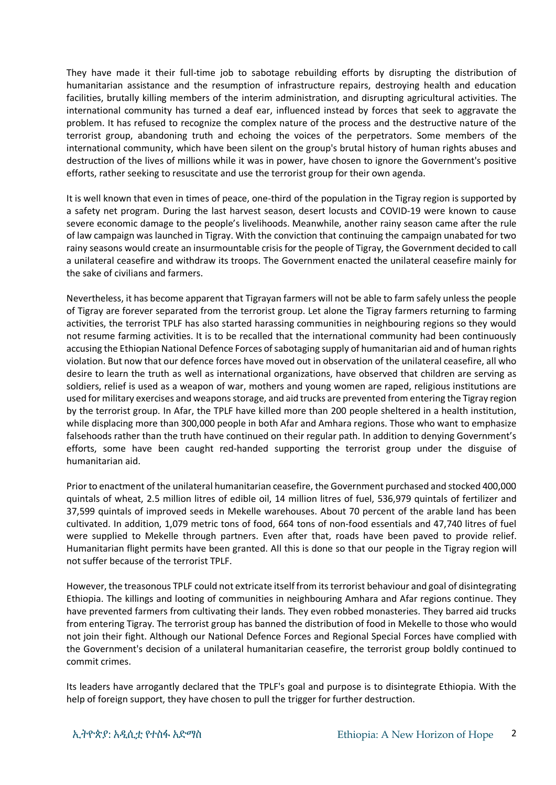They have made it their full-time job to sabotage rebuilding efforts by disrupting the distribution of humanitarian assistance and the resumption of infrastructure repairs, destroying health and education facilities, brutally killing members of the interim administration, and disrupting agricultural activities. The international community has turned a deaf ear, influenced instead by forces that seek to aggravate the problem. It has refused to recognize the complex nature of the process and the destructive nature of the terrorist group, abandoning truth and echoing the voices of the perpetrators. Some members of the international community, which have been silent on the group's brutal history of human rights abuses and destruction of the lives of millions while it was in power, have chosen to ignore the Government's positive efforts, rather seeking to resuscitate and use the terrorist group for their own agenda.

It is well known that even in times of peace, one-third of the population in the Tigray region is supported by a safety net program. During the last harvest season, desert locusts and COVID-19 were known to cause severe economic damage to the people's livelihoods. Meanwhile, another rainy season came after the rule of law campaign was launched in Tigray. With the conviction that continuing the campaign unabated for two rainy seasons would create an insurmountable crisis for the people of Tigray, the Government decided to call a unilateral ceasefire and withdraw its troops. The Government enacted the unilateral ceasefire mainly for the sake of civilians and farmers.

Nevertheless, it has become apparent that Tigrayan farmers will not be able to farm safely unless the people of Tigray are forever separated from the terrorist group. Let alone the Tigray farmers returning to farming activities, the terrorist TPLF has also started harassing communities in neighbouring regions so they would not resume farming activities. It is to be recalled that the international community had been continuously accusing the Ethiopian National Defence Forces of sabotaging supply of humanitarian aid and of human rights violation. But now that our defence forces have moved out in observation of the unilateral ceasefire, all who desire to learn the truth as well as international organizations, have observed that children are serving as soldiers, relief is used as a weapon of war, mothers and young women are raped, religious institutions are used for military exercises and weapons storage, and aid trucks are prevented from entering the Tigray region by the terrorist group. In Afar, the TPLF have killed more than 200 people sheltered in a health institution, while displacing more than 300,000 people in both Afar and Amhara regions. Those who want to emphasize falsehoods rather than the truth have continued on their regular path. In addition to denying Government's efforts, some have been caught red-handed supporting the terrorist group under the disguise of humanitarian aid.

Prior to enactment of the unilateral humanitarian ceasefire, the Government purchased and stocked 400,000 quintals of wheat, 2.5 million litres of edible oil, 14 million litres of fuel, 536,979 quintals of fertilizer and 37,599 quintals of improved seeds in Mekelle warehouses. About 70 percent of the arable land has been cultivated. In addition, 1,079 metric tons of food, 664 tons of non-food essentials and 47,740 litres of fuel were supplied to Mekelle through partners. Even after that, roads have been paved to provide relief. Humanitarian flight permits have been granted. All this is done so that our people in the Tigray region will not suffer because of the terrorist TPLF.

However, the treasonous TPLF could not extricate itself from its terrorist behaviour and goal of disintegrating Ethiopia. The killings and looting of communities in neighbouring Amhara and Afar regions continue. They have prevented farmers from cultivating their lands. They even robbed monasteries. They barred aid trucks from entering Tigray. The terrorist group has banned the distribution of food in Mekelle to those who would not join their fight. Although our National Defence Forces and Regional Special Forces have complied with the Government's decision of a unilateral humanitarian ceasefire, the terrorist group boldly continued to commit crimes.

Its leaders have arrogantly declared that the TPLF's goal and purpose is to disintegrate Ethiopia. With the help of foreign support, they have chosen to pull the trigger for further destruction.